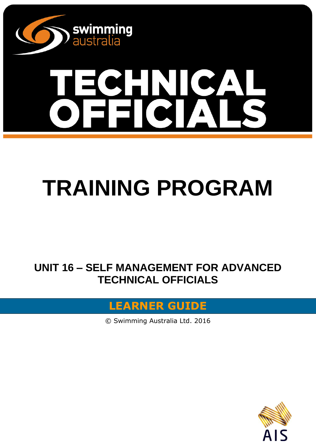

# $\Delta$

# **TRAINING PROGRAM**

**UNIT 16 – SELF MANAGEMENT FOR ADVANCED TECHNICAL OFFICIALS**

#### **LEARNER GUIDE**

© Swimming Australia Ltd. 2016

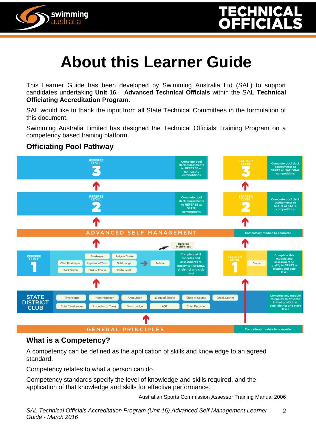



This Learner Guide has been developed by Swimming Australia Ltd (SAL) to support candidates undertaking **Unit 16** – **Advanced Technical Officials** within the SAL **Technical Officiating Accreditation Program**.

SAL would like to thank the input from all State Technical Committees in the formulation of this document.

Swimming Australia Limited has designed the Technical Officials Training Program on a competency based training platform.

#### **Officiating Pool Pathway**

swimming<br>australia



#### **What is a Competency?**

A competency can be defined as the application of skills and knowledge to an agreed standard.

Competency relates to what a person can do.

Competency standards specify the level of knowledge and skills required, and the application of that knowledge and skills for effective performance.

Australian Sports Commission Assessor Training Manual 2006

*SAL Technical Officials Accreditation Program (Unit 16) Advanced Self-Management Learner Guide - March 2016* 2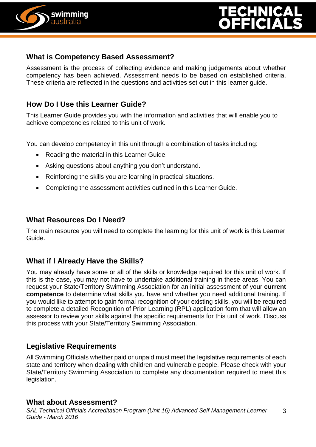



#### **What is Competency Based Assessment?**

Assessment is the process of collecting evidence and making judgements about whether competency has been achieved. Assessment needs to be based on established criteria. These criteria are reflected in the questions and activities set out in this learner guide.

#### **How Do I Use this Learner Guide?**

This Learner Guide provides you with the information and activities that will enable you to achieve competencies related to this unit of work.

You can develop competency in this unit through a combination of tasks including:

- Reading the material in this Learner Guide.
- Asking questions about anything you don't understand.
- Reinforcing the skills you are learning in practical situations.
- Completing the assessment activities outlined in this Learner Guide.

#### **What Resources Do I Need?**

The main resource you will need to complete the learning for this unit of work is this Learner Guide.

#### **What if I Already Have the Skills?**

You may already have some or all of the skills or knowledge required for this unit of work. If this is the case, you may not have to undertake additional training in these areas. You can request your State/Territory Swimming Association for an initial assessment of your **current competence** to determine what skills you have and whether you need additional training. If you would like to attempt to gain formal recognition of your existing skills, you will be required to complete a detailed Recognition of Prior Learning (RPL) application form that will allow an assessor to review your skills against the specific requirements for this unit of work. Discuss this process with your State/Territory Swimming Association.

#### **Legislative Requirements**

All Swimming Officials whether paid or unpaid must meet the legislative requirements of each state and territory when dealing with children and vulnerable people. Please check with your State/Territory Swimming Association to complete any documentation required to meet this legislation.

#### **What about Assessment?**

*SAL Technical Officials Accreditation Program (Unit 16) Advanced Self-Management Learner Guide - March 2016* 3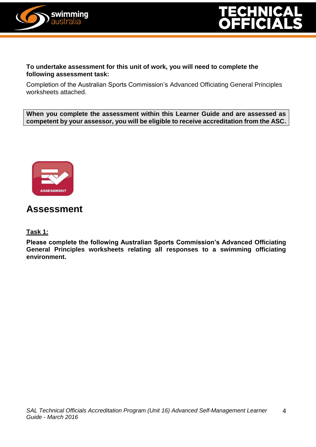



#### **To undertake assessment for this unit of work, you will need to complete the following assessment task:**

Completion of the Australian Sports Commission's Advanced Officiating General Principles worksheets attached.

**When you complete the assessment within this Learner Guide and are assessed as competent by your assessor, you will be eligible to receive accreditation from the ASC.**



#### **Assessment**

#### **Task 1:**

**Please complete the following Australian Sports Commission's Advanced Officiating General Principles worksheets relating all responses to a swimming officiating environment.**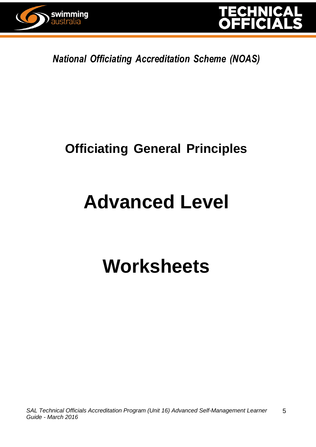



*National Officiating Accreditation Scheme (NOAS)*

### **Officiating General Principles**

### **Advanced Level**

## **Worksheets**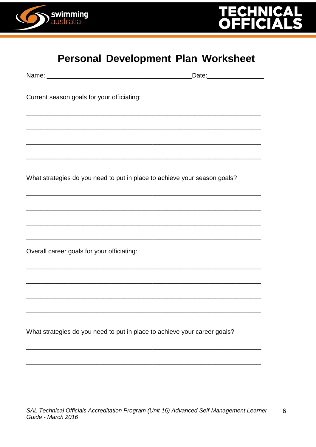



#### **Personal Development Plan Worksheet**

|                                                                                                                      | Date: ____________________ |
|----------------------------------------------------------------------------------------------------------------------|----------------------------|
| Current season goals for your officiating:                                                                           |                            |
|                                                                                                                      |                            |
|                                                                                                                      |                            |
| <u> 1989 - Johann Barn, mars eta bat erroman erroman erroman erroman erroman ezkin erroman ez erroman ez ez ez e</u> |                            |
| What strategies do you need to put in place to achieve your season goals?                                            |                            |
|                                                                                                                      |                            |
|                                                                                                                      |                            |
| Overall career goals for your officiating:                                                                           |                            |
|                                                                                                                      |                            |
|                                                                                                                      |                            |
| What strategies do you need to put in place to achieve your career goals?                                            |                            |
|                                                                                                                      |                            |
|                                                                                                                      |                            |
|                                                                                                                      |                            |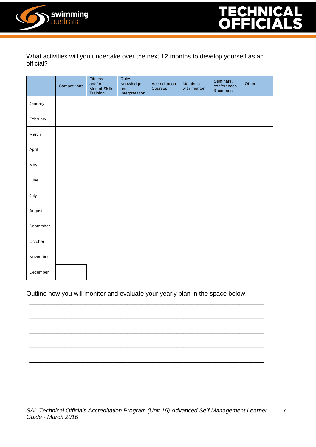

What activities will you undertake over the next 12 months to develop yourself as an official?

|           | Competitions | Fitness<br>and/or<br><b>Mental Skills</b><br>Training | Rules<br>Knowledge<br>and<br>Interpretation | Accreditation<br>Courses | Meetings<br>with mentor | Seminars,<br>conferences<br>& courses | Other |
|-----------|--------------|-------------------------------------------------------|---------------------------------------------|--------------------------|-------------------------|---------------------------------------|-------|
| January   |              |                                                       |                                             |                          |                         |                                       |       |
| February  |              |                                                       |                                             |                          |                         |                                       |       |
| March     |              |                                                       |                                             |                          |                         |                                       |       |
| April     |              |                                                       |                                             |                          |                         |                                       |       |
| May       |              |                                                       |                                             |                          |                         |                                       |       |
| June      |              |                                                       |                                             |                          |                         |                                       |       |
| July      |              |                                                       |                                             |                          |                         |                                       |       |
| August    |              |                                                       |                                             |                          |                         |                                       |       |
| September |              |                                                       |                                             |                          |                         |                                       |       |
| October   |              |                                                       |                                             |                          |                         |                                       |       |
| November  |              |                                                       |                                             |                          |                         |                                       |       |
| December  |              |                                                       |                                             |                          |                         |                                       |       |

Outline how you will monitor and evaluate your yearly plan in the space below.

\_\_\_\_\_\_\_\_\_\_\_\_\_\_\_\_\_\_\_\_\_\_\_\_\_\_\_\_\_\_\_\_\_\_\_\_\_\_\_\_\_\_\_\_\_\_\_\_\_\_\_\_\_\_\_\_\_\_\_\_\_\_\_\_\_\_\_

\_\_\_\_\_\_\_\_\_\_\_\_\_\_\_\_\_\_\_\_\_\_\_\_\_\_\_\_\_\_\_\_\_\_\_\_\_\_\_\_\_\_\_\_\_\_\_\_\_\_\_\_\_\_\_\_\_\_\_\_\_\_\_\_\_\_\_

\_\_\_\_\_\_\_\_\_\_\_\_\_\_\_\_\_\_\_\_\_\_\_\_\_\_\_\_\_\_\_\_\_\_\_\_\_\_\_\_\_\_\_\_\_\_\_\_\_\_\_\_\_\_\_\_\_\_\_\_\_\_\_\_\_\_\_

\_\_\_\_\_\_\_\_\_\_\_\_\_\_\_\_\_\_\_\_\_\_\_\_\_\_\_\_\_\_\_\_\_\_\_\_\_\_\_\_\_\_\_\_\_\_\_\_\_\_\_\_\_\_\_\_\_\_\_\_\_\_\_\_\_\_\_

\_\_\_\_\_\_\_\_\_\_\_\_\_\_\_\_\_\_\_\_\_\_\_\_\_\_\_\_\_\_\_\_\_\_\_\_\_\_\_\_\_\_\_\_\_\_\_\_\_\_\_\_\_\_\_\_\_\_\_\_\_\_\_\_\_\_\_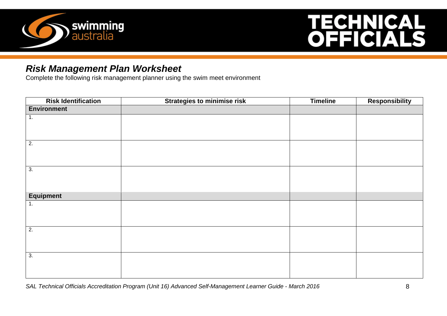

# **TECHNICAL<br>OFFICIALS**

#### *Risk Management Plan Worksheet*

Complete the following risk management planner using the swim meet environment

| <b>Risk Identification</b> | <b>Strategies to minimise risk</b> | <b>Timeline</b> | Responsibility |
|----------------------------|------------------------------------|-----------------|----------------|
| <b>Environment</b>         |                                    |                 |                |
| 1.                         |                                    |                 |                |
|                            |                                    |                 |                |
|                            |                                    |                 |                |
| $\overline{2}$ .           |                                    |                 |                |
|                            |                                    |                 |                |
|                            |                                    |                 |                |
| $\overline{3}$ .           |                                    |                 |                |
|                            |                                    |                 |                |
|                            |                                    |                 |                |
| <b>Equipment</b>           |                                    |                 |                |
| 1.                         |                                    |                 |                |
|                            |                                    |                 |                |
|                            |                                    |                 |                |
| $\overline{2}$ .           |                                    |                 |                |
|                            |                                    |                 |                |
|                            |                                    |                 |                |
| $\overline{3}$ .           |                                    |                 |                |
|                            |                                    |                 |                |
|                            |                                    |                 |                |

*SAL Technical Officials Accreditation Program (Unit 16) Advanced Self-Management Learner Guide - March 2016* 8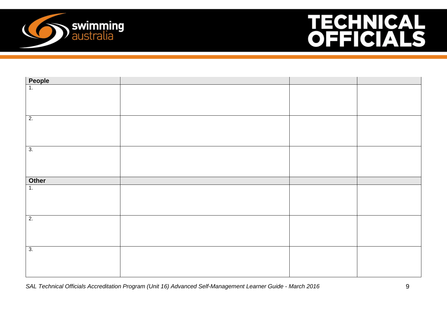

# **TECHNICAL<br>OFFICIALS**

| People                 |  |  |
|------------------------|--|--|
|                        |  |  |
|                        |  |  |
|                        |  |  |
|                        |  |  |
| $\overline{2}$ .       |  |  |
|                        |  |  |
|                        |  |  |
|                        |  |  |
| 3.                     |  |  |
|                        |  |  |
|                        |  |  |
|                        |  |  |
| Other<br>$\frac{1}{1}$ |  |  |
|                        |  |  |
|                        |  |  |
|                        |  |  |
|                        |  |  |
|                        |  |  |
| $\overline{2}$ .       |  |  |
|                        |  |  |
|                        |  |  |
|                        |  |  |
| 3.                     |  |  |
|                        |  |  |
|                        |  |  |

*SAL Technical Officials Accreditation Program (Unit 16) Advanced Self-Management Learner Guide - March 2016* 9